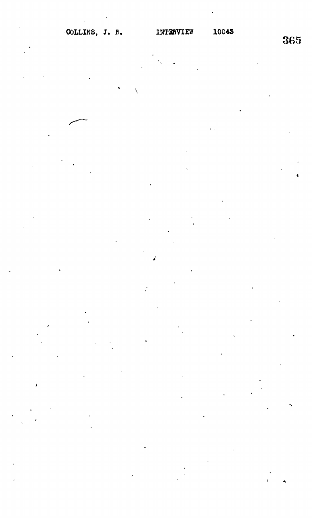$\mathbf{r}$ 

365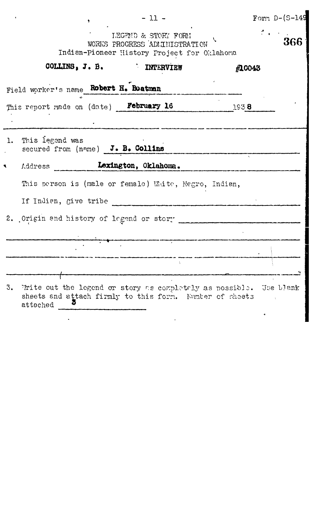|    | Indian-Pioneer History Project for Oklahoma                                                                        |        |
|----|--------------------------------------------------------------------------------------------------------------------|--------|
|    | COLLINS, J. B. INTERVIEW                                                                                           | #10043 |
|    | Field worker's name Robert H. Boatman                                                                              |        |
|    | This report made on (date) February 16                                                                             | 1938 B |
|    |                                                                                                                    |        |
| 1. | This legend was<br>secured from (name) J. B. Collins                                                               |        |
|    | Address <b>Lexington, Oklahoma.</b>                                                                                |        |
|    | This person is (male or female) White, Negro, Indian,                                                              |        |
|    | If Indian, give tribe                                                                                              |        |
|    |                                                                                                                    |        |
|    |                                                                                                                    |        |
|    |                                                                                                                    |        |
|    |                                                                                                                    |        |
|    | .<br>1980au - Jacques Marian, mendeburuakan kematikan kematikan pendadaran kematikan dalam kematikan dalam kematik |        |

 $\bar{\epsilon}$ 

 $\ddot{\phantom{0}}$ 

,  $-11 -$  Form  $D- (S-149)$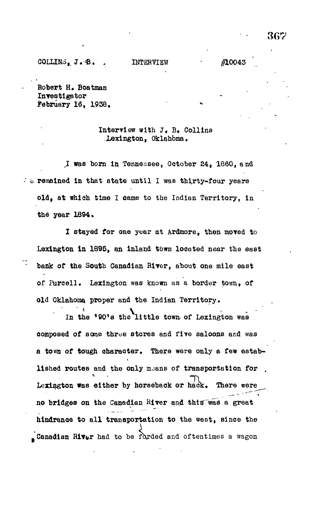## $COLLINS<sub>2</sub>$   $J<sub>1</sub>$   $B<sub>2</sub>$   $\ldots$  INTERVIEW  $\qquad \qquad$   $/20043$

Robert H, Boatman Investigator February 16, 1938,

## Interriew with J, B. Collins Lexington, Oklahoma,

 $I$  was born in Tennessee, October 24, 1860, and  $f$  is remained in that state until I was thirty-four years old, at which time I came to the Indian Territory, in the year 1894.

I stayed for one year at Ardmore, then mored to Lexington In 1895, an inland town located near the east bank of the South Canadian Hirer, about one mile east of Purcell. Lexington was known as a border town, of old Oklahoma, proper and the Indian Territory.

In the '90's the little town of Lexington was composed of some three stores and five saloons and was a town of tough character. There were only a few established routes and the only means of transportation for , Lexington was either by horseback or hack. There were no bridges on the Canadian River and this was a great hindrance to all transportation to the west, since the Canadian River had to be forded and oftentimes a wagon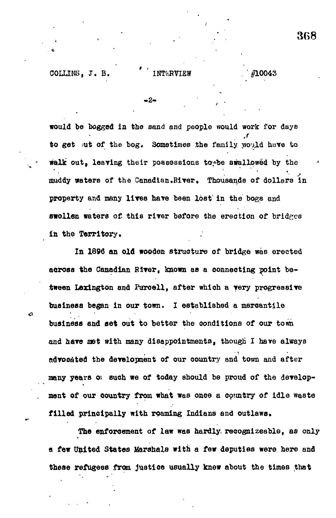COLLINS. J. B. THERVIEW . #10043

۵

-20

**would be bogged in the sand and people would work: for days** to get ut of the bog. Sometimes the family would have to walk out, leaving their possessions to be swallowed by the • J **muddy waters of the Canadian.River, Thousands of dollars in property and many lives have been lost' in the bogs and swollen waters of this river before the erection of bridges in the Territory,**

**In 1896 an old wooden structure of bridge was erected across the Canadian River, known as a connecting point between Lexington and Puroell, after which a very progressive** business began in our town. I established a mercantile **business and set out to better the conditions of our torn and hare met with many disappointments, though' I have always advocated the development of our oountry and town and after many years os such we of today should be proud of the development of our country from what was once a eo'intry of idle waste filled principally with roaming Indians and outlaws.**

**The enforcement of law was hardly, recognizeable, as only s few United States Marshals with a few deputies were here and these refugees from justice usually knew about the times that**